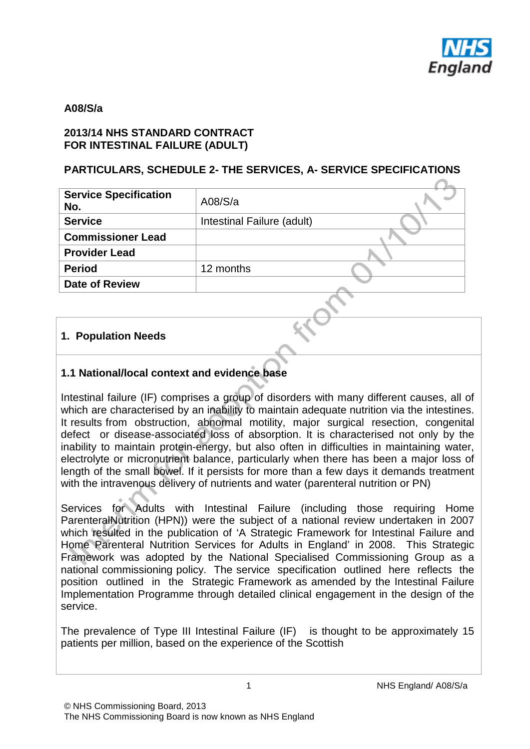

#### **A08/S/a**

#### **2013/14 NHS STANDARD CONTRACT FOR INTESTINAL FAILURE (ADULT)**

#### **PARTICULARS, SCHEDULE 2- THE SERVICES, A- SERVICE SPECIFICATIONS**

| <b>Service Specification</b><br>No. | A08/S/a                    |
|-------------------------------------|----------------------------|
| <b>Service</b>                      | Intestinal Failure (adult) |
| <b>Commissioner Lead</b>            |                            |
| <b>Provider Lead</b>                |                            |
| <b>Period</b>                       | 12 months                  |
| <b>Date of Review</b>               |                            |
|                                     |                            |

#### **1. Population Needs**

#### **1.1 National/local context and evidence base**

Intestinal failure (IF) comprises a group of disorders with many different causes, all of which are characterised by an inability to maintain adequate nutrition via the intestines. It results from obstruction, abnormal motility, major surgical resection, congenital defect or disease-associated loss of absorption. It is characterised not only by the inability to maintain protein-energy, but also often in difficulties in maintaining water, electrolyte or micronutrient balance, particularly when there has been a major loss of length of the small bowel. If it persists for more than a few days it demands treatment with the intravenous delivery of nutrients and water (parenteral nutrition or PN)

Services for Adults with Intestinal Failure (including those requiring Home ParenteralNutrition (HPN)) were the subject of a national review undertaken in 2007 which resulted in the publication of 'A Strategic Framework for Intestinal Failure and Home Parenteral Nutrition Services for Adults in England' in 2008. This Strategic Framework was adopted by the National Specialised Commissioning Group as a national commissioning policy. The service specification outlined here reflects the position outlined in the Strategic Framework as amended by the Intestinal Failure Implementation Programme through detailed clinical engagement in the design of the service.

The prevalence of Type III Intestinal Failure (IF) is thought to be approximately 15 patients per million, based on the experience of the Scottish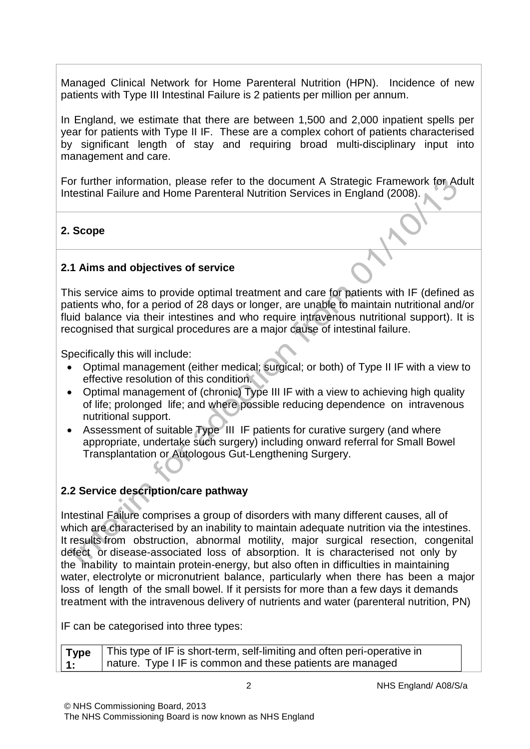Managed Clinical Network for Home Parenteral Nutrition (HPN). Incidence of new patients with Type III Intestinal Failure is 2 patients per million per annum.

In England, we estimate that there are between 1,500 and 2,000 inpatient spells per year for patients with Type II IF. These are a complex cohort of patients characterised by significant length of stay and requiring broad multi-disciplinary input into management and care.

For further information, please refer to the document A Strategic Framework for Adult Intestinal Failure and Home Parenteral Nutrition Services in England (2008).

#### **2. Scope**

#### **2.1 Aims and objectives of service**

This service aims to provide optimal treatment and care for patients with IF (defined as patients who, for a period of 28 days or longer, are unable to maintain nutritional and/or fluid balance via their intestines and who require intravenous nutritional support). It is recognised that surgical procedures are a major cause of intestinal failure.

Specifically this will include:

- Optimal management (either medical; surgical; or both) of Type II IF with a view to effective resolution of this condition.
- Optimal management of (chronic) Type III IF with a view to achieving high quality of life; prolonged life; and where possible reducing dependence on intravenous nutritional support.
- Assessment of suitable Type III IF patients for curative surgery (and where appropriate, undertake such surgery) including onward referral for Small Bowel Transplantation or Autologous Gut-Lengthening Surgery.

#### **2.2 Service description/care pathway**

Intestinal Failure comprises a group of disorders with many different causes, all of which are characterised by an inability to maintain adequate nutrition via the intestines. It results from obstruction, abnormal motility, major surgical resection, congenital defect or disease-associated loss of absorption. It is characterised not only by the inability to maintain protein-energy, but also often in difficulties in maintaining water, electrolyte or micronutrient balance, particularly when there has been a major loss of length of the small bowel. If it persists for more than a few days it demands treatment with the intravenous delivery of nutrients and water (parenteral nutrition, PN)

IF can be categorised into three types:

|      | Type   This type of IF is short-term, self-limiting and often peri-operative in |
|------|---------------------------------------------------------------------------------|
| l 1: | nature. Type I IF is common and these patients are managed                      |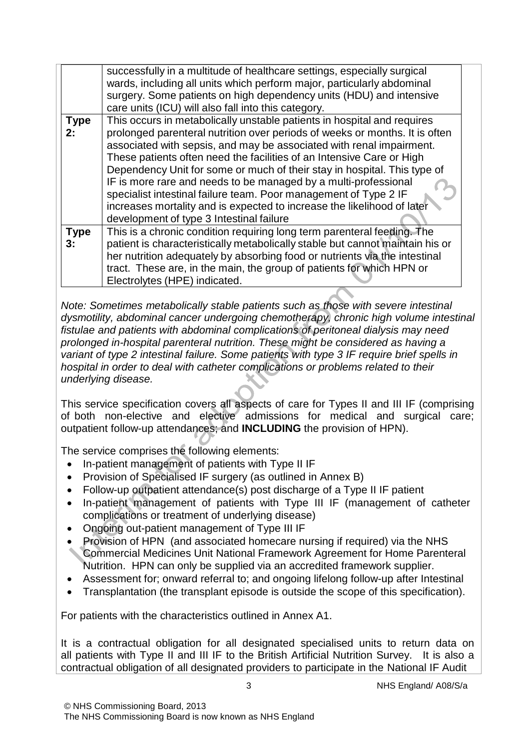|                   | successfully in a multitude of healthcare settings, especially surgical<br>wards, including all units which perform major, particularly abdominal<br>surgery. Some patients on high dependency units (HDU) and intensive<br>care units (ICU) will also fall into this category.                                                                                                                                                                                                                                                                                                                                                                   |
|-------------------|---------------------------------------------------------------------------------------------------------------------------------------------------------------------------------------------------------------------------------------------------------------------------------------------------------------------------------------------------------------------------------------------------------------------------------------------------------------------------------------------------------------------------------------------------------------------------------------------------------------------------------------------------|
| <b>Type</b><br>2: | This occurs in metabolically unstable patients in hospital and requires<br>prolonged parenteral nutrition over periods of weeks or months. It is often<br>associated with sepsis, and may be associated with renal impairment.<br>These patients often need the facilities of an Intensive Care or High<br>Dependency Unit for some or much of their stay in hospital. This type of<br>IF is more rare and needs to be managed by a multi-professional<br>specialist intestinal failure team. Poor management of Type 2 IF<br>increases mortality and is expected to increase the likelihood of later<br>development of type 3 Intestinal failure |
| <b>Type</b><br>3: | This is a chronic condition requiring long term parenteral feeding. The<br>patient is characteristically metabolically stable but cannot maintain his or<br>her nutrition adequately by absorbing food or nutrients via the intestinal<br>tract. These are, in the main, the group of patients for which HPN or<br>Electrolytes (HPE) indicated.                                                                                                                                                                                                                                                                                                  |

*Note: Sometimes metabolically stable patients such as those with severe intestinal dysmotility, abdominal cancer undergoing chemotherapy, chronic high volume intestinal fistulae and patients with abdominal complications of peritoneal dialysis may need prolonged in-hospital parenteral nutrition. These might be considered as having a variant of type 2 intestinal failure. Some patients with type 3 IF require brief spells in hospital in order to deal with catheter complications or problems related to their underlying disease.*

This service specification covers all aspects of care for Types II and III IF (comprising of both non-elective and elective admissions for medical and surgical care; outpatient follow-up attendances; and **INCLUDING** the provision of HPN).

The service comprises the following elements:

- In-patient management of patients with Type II IF
- Provision of Specialised IF surgery (as outlined in Annex B)
- Follow-up outpatient attendance(s) post discharge of a Type II IF patient
- In-patient management of patients with Type III IF (management of catheter complications or treatment of underlying disease)
- Ongoing out-patient management of Type III IF
- Provision of HPN (and associated homecare nursing if required) via the NHS Commercial Medicines Unit National Framework Agreement for Home Parenteral Nutrition. HPN can only be supplied via an accredited framework supplier.
- Assessment for; onward referral to; and ongoing lifelong follow-up after Intestinal
- Transplantation (the transplant episode is outside the scope of this specification).

For patients with the characteristics outlined in Annex A1.

It is a contractual obligation for all designated specialised units to return data on all patients with Type II and III IF to the British Artificial Nutrition Survey. It is also a contractual obligation of all designated providers to participate in the National IF Audit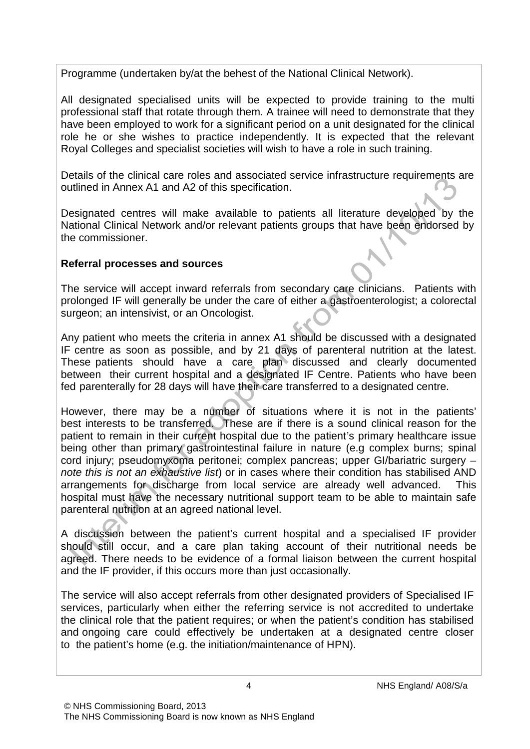Programme (undertaken by/at the behest of the National Clinical Network).

All designated specialised units will be expected to provide training to the multi professional staff that rotate through them. A trainee will need to demonstrate that they have been employed to work for a significant period on a unit designated for the clinical role he or she wishes to practice independently. It is expected that the relevant Royal Colleges and specialist societies will wish to have a role in such training.

Details of the clinical care roles and associated service infrastructure requirements are outlined in Annex A1 and A2 of this specification.

Designated centres will make available to patients all literature developed by the National Clinical Network and/or relevant patients groups that have been endorsed by the commissioner.

#### **Referral processes and sources**

The service will accept inward referrals from secondary care clinicians. Patients with prolonged IF will generally be under the care of either a gastroenterologist; a colorectal surgeon; an intensivist, or an Oncologist.

Any patient who meets the criteria in annex A1 should be discussed with a designated IF centre as soon as possible, and by 21 days of parenteral nutrition at the latest. These patients should have a care plan discussed and clearly documented between their current hospital and a designated IF Centre. Patients who have been fed parenterally for 28 days will have their care transferred to a designated centre.

However, there may be a number of situations where it is not in the patients' best interests to be transferred. These are if there is a sound clinical reason for the patient to remain in their current hospital due to the patient's primary healthcare issue being other than primary gastrointestinal failure in nature (e.g complex burns; spinal cord injury; pseudomyxoma peritonei; complex pancreas; upper GI/bariatric surgery – *note this is not an exhaustive list*) or in cases where their condition has stabilised AND arrangements for discharge from local service are already well advanced. This hospital must have the necessary nutritional support team to be able to maintain safe parenteral nutrition at an agreed national level.

A discussion between the patient's current hospital and a specialised IF provider should still occur, and a care plan taking account of their nutritional needs be agreed. There needs to be evidence of a formal liaison between the current hospital and the IF provider, if this occurs more than just occasionally.

The service will also accept referrals from other designated providers of Specialised IF services, particularly when either the referring service is not accredited to undertake the clinical role that the patient requires; or when the patient's condition has stabilised and ongoing care could effectively be undertaken at a designated centre closer to the patient's home (e.g. the initiation/maintenance of HPN).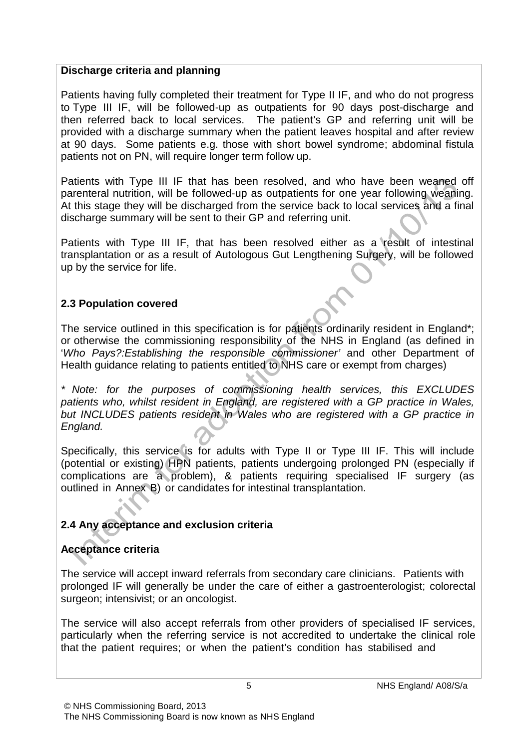#### **Discharge criteria and planning**

Patients having fully completed their treatment for Type II IF, and who do not progress to Type III IF, will be followed-up as outpatients for 90 days post-discharge and then referred back to local services. The patient's GP and referring unit will be provided with a discharge summary when the patient leaves hospital and after review at 90 days. Some patients e.g. those with short bowel syndrome; abdominal fistula patients not on PN, will require longer term follow up.

Patients with Type III IF that has been resolved, and who have been weaned off parenteral nutrition, will be followed-up as outpatients for one year following weaning. At this stage they will be discharged from the service back to local services and a final discharge summary will be sent to their GP and referring unit.

Patients with Type III IF, that has been resolved either as a result of intestinal transplantation or as a result of Autologous Gut Lengthening Surgery, will be followed up by the service for life.

#### **2.3 Population covered**

The service outlined in this specification is for patients ordinarily resident in England\*; or otherwise the commissioning responsibility of the NHS in England (as defined in '*Who Pays?:Establishing the responsible commissioner'* and other Department of Health guidance relating to patients entitled to NHS care or exempt from charges)

*\* Note: for the purposes of commissioning health services, this EXCLUDES patients who, whilst resident in England, are registered with a GP practice in Wales, but INCLUDES patients resident in Wales who are registered with a GP practice in England.*

Specifically, this service is for adults with Type II or Type III IF. This will include (potential or existing) HPN patients, patients undergoing prolonged PN (especially if complications are a problem), & patients requiring specialised IF surgery (as outlined in Annex B) or candidates for intestinal transplantation.

## **2.4 Any acceptance and exclusion criteria**

#### **Acceptance criteria**

The service will accept inward referrals from secondary care clinicians. Patients with prolonged IF will generally be under the care of either a gastroenterologist; colorectal surgeon; intensivist; or an oncologist.

The service will also accept referrals from other providers of specialised IF services, particularly when the referring service is not accredited to undertake the clinical role that the patient requires; or when the patient's condition has stabilised and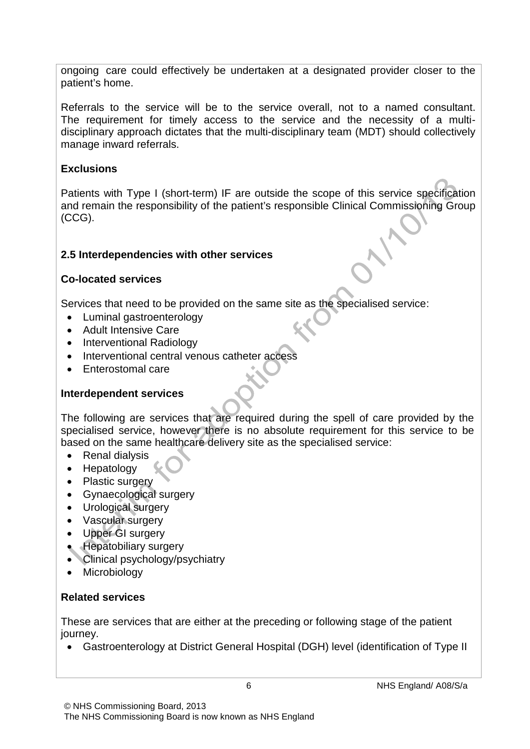ongoing care could effectively be undertaken at a designated provider closer to the patient's home.

Referrals to the service will be to the service overall, not to a named consultant. The requirement for timely access to the service and the necessity of a multidisciplinary approach dictates that the multi-disciplinary team (MDT) should collectively manage inward referrals.

#### **Exclusions**

Patients with Type I (short-term) IF are outside the scope of this service specification and remain the responsibility of the patient's responsible Clinical Commissioning Group (CCG).

#### **2.5 Interdependencies with other services**

#### **Co-located services**

Services that need to be provided on the same site as the specialised service:

- Luminal gastroenterology
- Adult Intensive Care
- Interventional Radiology
- Interventional central venous catheter access
- Enterostomal care

## **Interdependent services**

The following are services that are required during the spell of care provided by the specialised service, however there is no absolute requirement for this service to be based on the same healthcare delivery site as the specialised service:

- Renal dialysis
- Hepatology
- Plastic surgery
- Gynaecological surgery
- Urological surgery
- Vascular surgery
- Upper GI surgery
- Hepatobiliary surgery
- Clinical psychology/psychiatry
- Microbiology

#### **Related services**

These are services that are either at the preceding or following stage of the patient journey.

• Gastroenterology at District General Hospital (DGH) level (identification of Type II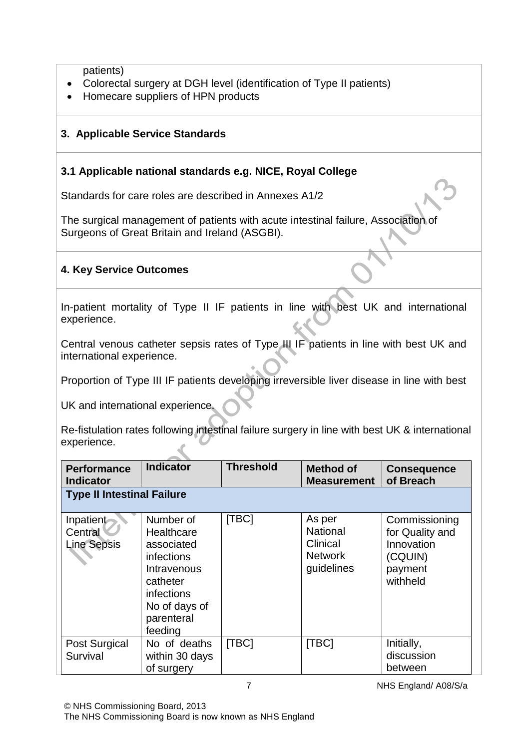patients)

- Colorectal surgery at DGH level (identification of Type II patients)
- Homecare suppliers of HPN products

### **3. Applicable Service Standards**

#### **3.1 Applicable national standards e.g. NICE, Royal College**

Standards for care roles are described in Annexes A1/2

The surgical management of patients with acute intestinal failure, Association of Surgeons of Great Britain and Ireland (ASGBI).

#### **4. Key Service Outcomes**

In-patient mortality of Type II IF patients in line with best UK and international experience.

Central venous catheter sepsis rates of Type III IF patients in line with best UK and international experience.

Proportion of Type III IF patients developing irreversible liver disease in line with best

UK and international experience.

Re-fistulation rates following intestinal failure surgery in line with best UK & international experience.

| <b>Performance</b><br><b>Indicator</b>     | <b>Indicator</b>                                                                                                                       | <b>Threshold</b> | <b>Method of</b><br><b>Measurement</b>                                | <b>Consequence</b><br>of Breach                                                  |  |  |
|--------------------------------------------|----------------------------------------------------------------------------------------------------------------------------------------|------------------|-----------------------------------------------------------------------|----------------------------------------------------------------------------------|--|--|
|                                            | <b>Type II Intestinal Failure</b>                                                                                                      |                  |                                                                       |                                                                                  |  |  |
| Inpatient<br>Central<br><b>Line Sepsis</b> | Number of<br>Healthcare<br>associated<br>infections<br>Intravenous<br>catheter<br>infections<br>No of days of<br>parenteral<br>feeding | [TBC]            | As per<br><b>National</b><br>Clinical<br><b>Network</b><br>guidelines | Commissioning<br>for Quality and<br>Innovation<br>(CQUIN)<br>payment<br>withheld |  |  |
| Post Surgical<br>Survival                  | No of deaths<br>within 30 days<br>of surgery                                                                                           | [TBC]            | [TBC]                                                                 | Initially,<br>discussion<br>between                                              |  |  |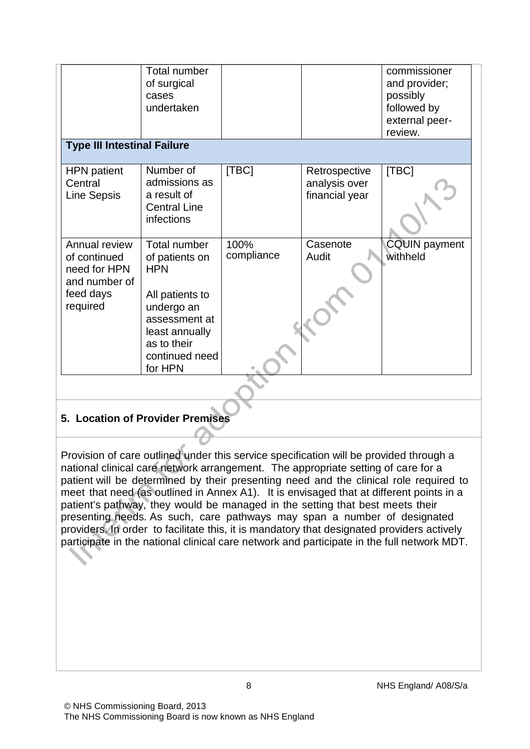| <b>Type III Intestinal Failure</b>                                                      | <b>Total number</b><br>of surgical<br>cases<br>undertaken                                                                                                    |                    |                                                  | commissioner<br>and provider;<br>possibly<br>followed by<br>external peer-<br>review. |
|-----------------------------------------------------------------------------------------|--------------------------------------------------------------------------------------------------------------------------------------------------------------|--------------------|--------------------------------------------------|---------------------------------------------------------------------------------------|
| <b>HPN</b> patient<br>Central<br><b>Line Sepsis</b>                                     | Number of<br>admissions as<br>a result of<br><b>Central Line</b><br>infections                                                                               | [TBC]              | Retrospective<br>analysis over<br>financial year | [TBC]                                                                                 |
| Annual review<br>of continued<br>need for HPN<br>and number of<br>feed days<br>required | Total number<br>of patients on<br><b>HPN</b><br>All patients to<br>undergo an<br>assessment at<br>least annually<br>as to their<br>continued need<br>for HPN | 100%<br>compliance | Casenote<br>Audit                                | <b>CQUIN payment</b><br>withheld                                                      |

#### **5. Location of Provider Premises**

Provision of care outlined under this service specification will be provided through a national clinical care network arrangement. The appropriate setting of care for a patient will be determined by their presenting need and the clinical role required to meet that need (as outlined in Annex A1). It is envisaged that at different points in a patient's pathway, they would be managed in the setting that best meets their presenting needs. As such, care pathways may span a number of designated providers. In order to facilitate this, it is mandatory that designated providers actively participate in the national clinical care network and participate in the full network MDT.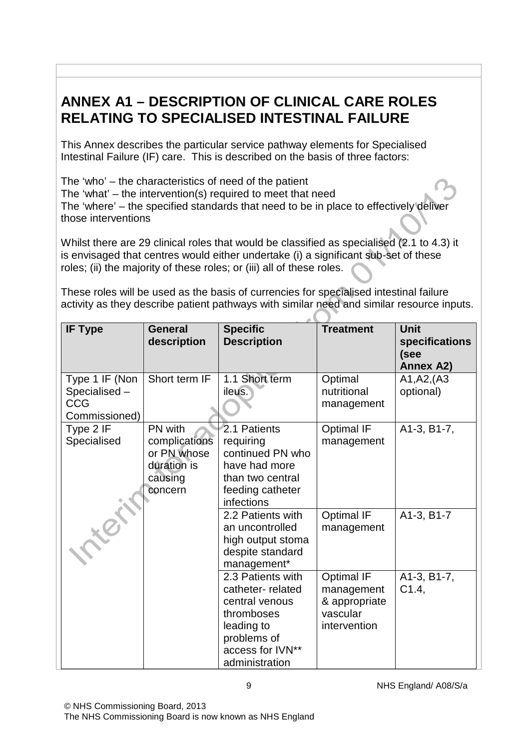# **ANNEX A1 – DESCRIPTION OF CLINICAL CARE ROLES RELATING TO SPECIALISED INTESTINAL FAILURE**

This Annex describes the particular service pathway elements for Specialised Intestinal Failure (IF) care. This is described on the basis of three factors:

The 'who' – the characteristics of need of the patient The 'what' – the intervention(s) required to meet that need The 'where' – the specified standards that need to be in place to effectively deliver those interventions

Whilst there are 29 clinical roles that would be classified as specialised (2.1 to 4.3) it is envisaged that centres would either undertake (i) a significant sub-set of these roles; (ii) the majority of these roles; or (iii) all of these roles.

These roles will be used as the basis of currencies for specialised intestinal failure activity as they describe patient pathways with similar need and similar resource inputs.

| <b>IF Type</b>                                                | <b>General</b><br>description                                                | <b>Specific</b><br><b>Description</b>                                                                                                    | <b>Treatment</b>                                                             | <b>Unit</b><br>specifications<br>(see |
|---------------------------------------------------------------|------------------------------------------------------------------------------|------------------------------------------------------------------------------------------------------------------------------------------|------------------------------------------------------------------------------|---------------------------------------|
|                                                               |                                                                              |                                                                                                                                          |                                                                              | <b>Annex A2)</b>                      |
| Type 1 IF (Non<br>Specialised-<br><b>CCG</b><br>Commissioned) | Short term IF                                                                | 1.1 Short term<br>ileus.                                                                                                                 | Optimal<br>nutritional<br>management                                         | A1, A2, (A3)<br>optional)             |
| Type 2 IF<br>Specialised                                      | PN with<br>complications<br>or PN whose<br>duration is<br>causing<br>concern | 2.1 Patients<br>requiring<br>continued PN who<br>have had more<br>than two central<br>feeding catheter<br>infections                     | <b>Optimal IF</b><br>management                                              | A1-3, B1-7,                           |
|                                                               |                                                                              | 2.2 Patients with<br>an uncontrolled<br>high output stoma<br>despite standard<br>management*                                             | <b>Optimal IF</b><br>management                                              | A1-3, B1-7                            |
|                                                               |                                                                              | 2.3 Patients with<br>catheter-related<br>central venous<br>thromboses<br>leading to<br>problems of<br>access for IVN**<br>administration | <b>Optimal IF</b><br>management<br>& appropriate<br>vascular<br>intervention | A1-3, B1-7,<br>C1.4                   |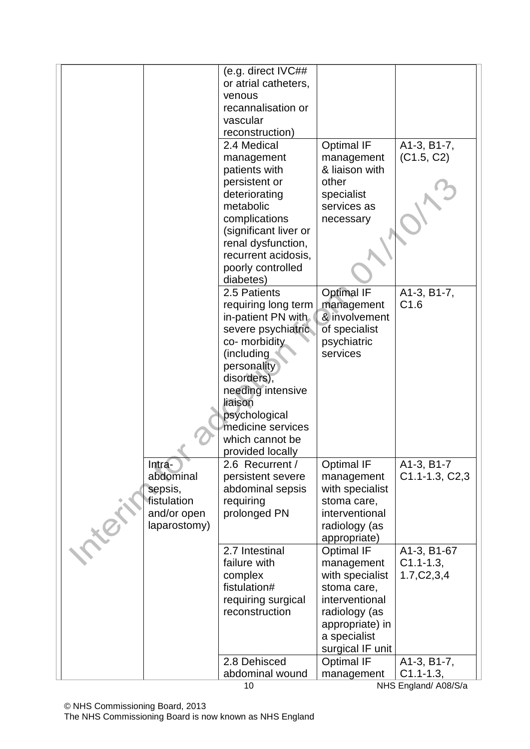|  |  |                        | (e.g. direct IVC##                   |                                   |                            |
|--|--|------------------------|--------------------------------------|-----------------------------------|----------------------------|
|  |  |                        | or atrial catheters,                 |                                   |                            |
|  |  |                        | venous                               |                                   |                            |
|  |  |                        | recannalisation or                   |                                   |                            |
|  |  | vascular               |                                      |                                   |                            |
|  |  |                        | reconstruction)                      |                                   |                            |
|  |  |                        | 2.4 Medical                          |                                   |                            |
|  |  |                        |                                      | <b>Optimal IF</b>                 | A1-3, B1-7,                |
|  |  |                        | management                           | management                        | (C1.5, C2)                 |
|  |  |                        | patients with                        | & liaison with                    |                            |
|  |  |                        | persistent or                        | other                             |                            |
|  |  |                        | deteriorating                        | specialist                        |                            |
|  |  |                        | metabolic                            | services as                       |                            |
|  |  |                        | complications                        | necessary                         |                            |
|  |  |                        | (significant liver or                |                                   |                            |
|  |  |                        | renal dysfunction,                   |                                   |                            |
|  |  |                        | recurrent acidosis,                  |                                   |                            |
|  |  |                        | poorly controlled                    |                                   |                            |
|  |  |                        | diabetes)                            |                                   |                            |
|  |  |                        | 2.5 Patients                         | <b>Optimal IF</b>                 | A1-3, B1-7,                |
|  |  |                        | requiring long term                  | management                        | C1.6                       |
|  |  |                        | in-patient PN with                   | & involvement                     |                            |
|  |  |                        | severe psychiatric                   | of specialist                     |                            |
|  |  |                        | co- morbidity                        | psychiatric                       |                            |
|  |  |                        | (including                           | services                          |                            |
|  |  |                        | personality                          |                                   |                            |
|  |  |                        | disorders),                          |                                   |                            |
|  |  |                        | needing intensive                    |                                   |                            |
|  |  |                        | liaison                              |                                   |                            |
|  |  |                        | psychological                        |                                   |                            |
|  |  |                        | medicine services<br>which cannot be |                                   |                            |
|  |  |                        |                                      |                                   |                            |
|  |  |                        | provided locally                     |                                   |                            |
|  |  | <u> Intra-</u>         | 2.6 Recurrent /                      | <b>Optimal IF</b>                 | A1-3, B1-7                 |
|  |  | abdominal              | persistent severe                    | management                        | $C1.1 - 1.3, C2,3$         |
|  |  | sepsis,<br>fistulation | abdominal sepsis                     | with specialist                   |                            |
|  |  |                        | requiring                            | stoma care,                       |                            |
|  |  | and/or open            | prolonged PN                         | interventional                    |                            |
|  |  | laparostomy)           |                                      | radiology (as                     |                            |
|  |  |                        | 2.7 Intestinal                       | appropriate)<br><b>Optimal IF</b> | A1-3, B1-67                |
|  |  |                        | failure with                         | management                        | $C1.1 - 1.3$               |
|  |  |                        |                                      | with specialist                   |                            |
|  |  |                        | complex<br>fistulation#              | stoma care,                       | 1.7, C <sub>2</sub> , 3, 4 |
|  |  |                        | requiring surgical                   | interventional                    |                            |
|  |  |                        | reconstruction                       | radiology (as                     |                            |
|  |  |                        |                                      | appropriate) in                   |                            |
|  |  |                        |                                      | a specialist                      |                            |
|  |  |                        |                                      | surgical IF unit                  |                            |
|  |  |                        | 2.8 Dehisced                         | <b>Optimal IF</b>                 | A1-3, B1-7,                |
|  |  |                        | abdominal wound                      | management                        | $C1.1 - 1.3$ ,             |
|  |  |                        |                                      |                                   |                            |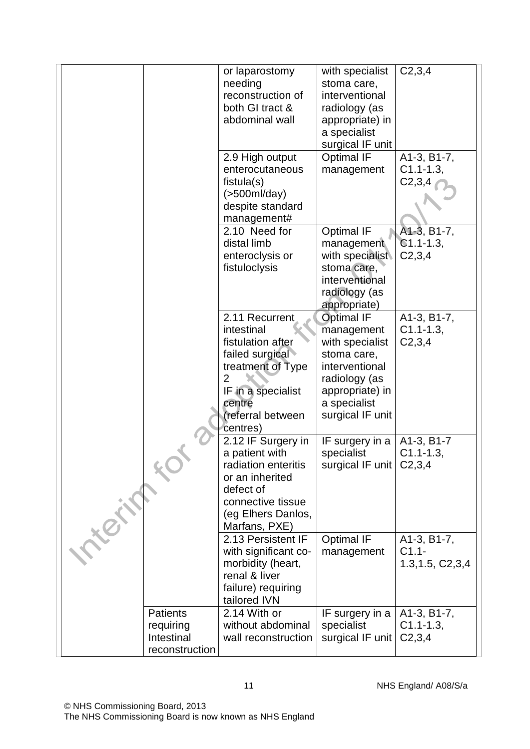|                                                              | C2, 3, 4<br>with specialist<br>or laparostomy<br>needing<br>stoma care,<br>reconstruction of<br>interventional<br>both GI tract &<br>radiology (as<br>abdominal wall<br>appropriate) in<br>a specialist<br>surgical IF unit<br>A1-3, B1-7,<br>2.9 High output<br><b>Optimal IF</b>                                                                                                   |
|--------------------------------------------------------------|--------------------------------------------------------------------------------------------------------------------------------------------------------------------------------------------------------------------------------------------------------------------------------------------------------------------------------------------------------------------------------------|
|                                                              | $C1.1 - 1.3$<br>enterocutaneous<br>management<br>C2,3,4<br>fistula(s)<br>$($ >500ml/day)<br>despite standard<br>management#                                                                                                                                                                                                                                                          |
|                                                              | A <sub>1</sub> -3, B <sub>1</sub> -7,<br>2.10 Need for<br><b>Optimal IF</b><br>$C1.1 - 1.3$<br>distal limb<br>management<br>with specialist<br>enteroclysis or<br>C2,3,4<br>fistuloclysis<br>stoma care,<br>interventional<br>radiology (as<br>appropriate)                                                                                                                          |
|                                                              | <b>Optimal IF</b><br>A1-3, B1-7,<br>2.11 Recurrent<br>$C1.1 - 1.3$<br>intestinal<br>management<br>fistulation after<br>with specialist<br>C2,3,4<br>failed surgical<br>stoma care,<br>treatment of Type<br>interventional<br>$\overline{2}$<br>radiology (as<br>appropriate) in<br>IF in a specialist<br>a specialist<br>centre<br>referral between)<br>surgical IF unit<br>centres) |
| tex                                                          | IF surgery in a<br>A1-3, B1-7<br>2.12 IF Surgery in<br>a patient with<br>$C1.1 - 1.3$<br>specialist<br>radiation enteritis<br>surgical IF unit $\vert$ C2,3,4<br>or an inherited<br>defect of<br>connective tissue<br>(eg Elhers Danlos,<br>Marfans, PXE)                                                                                                                            |
|                                                              | <b>Optimal IF</b><br>2.13 Persistent IF<br>A1-3, B1-7,<br>$C1.1 -$<br>with significant co-<br>management<br>1.3, 1.5, C <sub>2</sub> , 3, 4<br>morbidity (heart,<br>renal & liver<br>failure) requiring<br>tailored IVN                                                                                                                                                              |
| <b>Patients</b><br>requiring<br>Intestinal<br>reconstruction | 2.14 With or<br>IF surgery in a<br>A1-3, B1-7,<br>without abdominal<br>$C1.1 - 1.3$<br>specialist<br>surgical IF unit<br>C <sub>2,3,4</sub><br>wall reconstruction                                                                                                                                                                                                                   |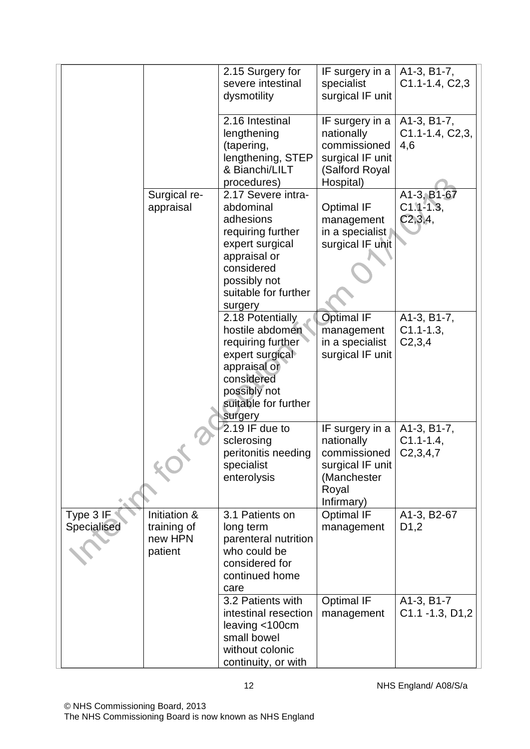|                          |                                                   | 2.15 Surgery for<br>severe intestinal<br>dysmotility                                                                                                                  | IF surgery in a<br>specialist<br>surgical IF unit                                                       | A1-3, B1-7,<br>C1.1-1.4, C2,3              |
|--------------------------|---------------------------------------------------|-----------------------------------------------------------------------------------------------------------------------------------------------------------------------|---------------------------------------------------------------------------------------------------------|--------------------------------------------|
|                          |                                                   | 2.16 Intestinal<br>lengthening<br>(tapering,<br>lengthening, STEP<br>& Bianchi/LILT<br>procedures)                                                                    | IF surgery in a<br>nationally<br>commissioned<br>surgical IF unit<br>(Salford Royal<br>Hospital)        | A1-3, B1-7,<br>$C1.1-1.4, C2,3,$<br>4,6    |
|                          | Surgical re-<br>appraisal                         | 2.17 Severe intra-<br>abdominal<br>adhesions<br>requiring further<br>expert surgical<br>appraisal or<br>considered<br>possibly not<br>suitable for further<br>surgery | <b>Optimal IF</b><br>management<br>in a specialist<br>surgical IF unit                                  | A1-3, B1-67<br>$C1.1 - 1.3$<br>C2, 3, 4,   |
|                          |                                                   | 2.18 Potentially<br>hostile abdomen<br>requiring further<br>expert surgical<br>appraisal or<br>considered<br>possibly not<br>suitable for further<br>surgery          | <b>Optimal IF</b><br>management<br>in a specialist<br>surgical IF unit                                  | A1-3, B1-7,<br>$C1.1 - 1.3$<br>C2,3,4      |
|                          |                                                   | $2.19$ IF due to<br>sclerosing<br>peritonitis needing<br>specialist<br>enterolysis                                                                                    | IF surgery in a<br>nationally<br>commissioned<br>surgical IF unit<br>(Manchester<br>Royal<br>Infirmary) | A1-3, B1-7,<br>$C1.1 - 1.4$<br>C2, 3, 4, 7 |
| Type 3 IF<br>Specialised | Initiation &<br>training of<br>new HPN<br>patient | 3.1 Patients on<br>long term<br>parenteral nutrition<br>who could be<br>considered for<br>continued home<br>care                                                      | <b>Optimal IF</b><br>management                                                                         | A1-3, B2-67<br>D <sub>1</sub> ,2           |
|                          |                                                   | 3.2 Patients with<br>intestinal resection<br>leaving <100cm<br>small bowel<br>without colonic<br>continuity, or with                                                  | <b>Optimal IF</b><br>management                                                                         | A1-3, B1-7<br>$C1.1 - 1.3, D1.2$           |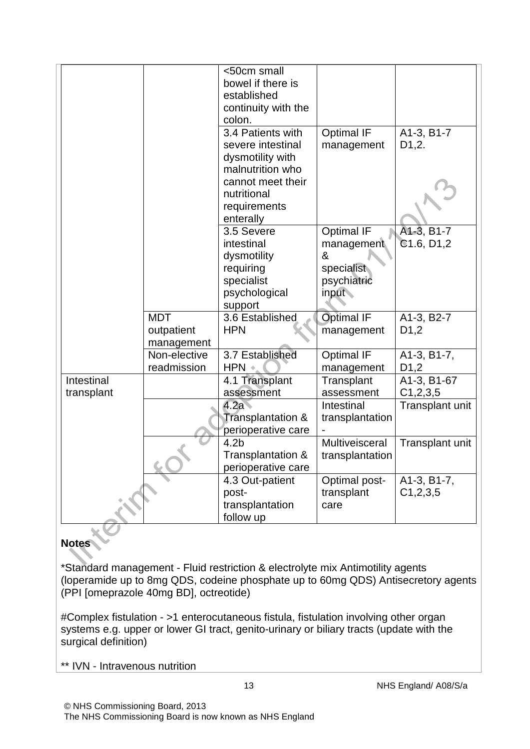|                          |                                        | <50cm small<br>bowel if there is<br>established<br>continuity with the<br>colon.                                   |                                                    |                                  |
|--------------------------|----------------------------------------|--------------------------------------------------------------------------------------------------------------------|----------------------------------------------------|----------------------------------|
|                          |                                        | 3.4 Patients with<br>severe intestinal<br>dysmotility with<br>malnutrition who<br>cannot meet their<br>nutritional | <b>Optimal IF</b><br>management                    | A1-3, B1-7<br>D <sub>1</sub> ,2. |
|                          |                                        | requirements<br>enterally                                                                                          |                                                    |                                  |
|                          |                                        | 3.5 Severe<br>intestinal<br>dysmotility<br>requiring                                                               | <b>Optimal IF</b><br>management<br>&<br>specialist | A1-3, B1-7<br>C1.6, D1.2         |
|                          |                                        | specialist<br>psychological<br>support                                                                             | psychiatric<br>input                               |                                  |
|                          | <b>MDT</b><br>outpatient<br>management | 3.6 Established<br><b>HPN</b>                                                                                      | <b>Optimal IF</b><br>management                    | A1-3, B2-7<br>D <sub>1</sub> ,2  |
|                          | Non-elective<br>readmission            | 3.7 Established<br>HPN +                                                                                           | <b>Optimal IF</b><br>management                    | A1-3, B1-7,<br>D <sub>1</sub> ,2 |
| Intestinal<br>transplant |                                        | 4.1 Transplant<br>assessment                                                                                       | Transplant<br>assessment                           | A1-3, B1-67<br>C1, 2, 3, 5       |
|                          |                                        | 4.2a<br>Transplantation &<br>perioperative care                                                                    | Intestinal<br>transplantation                      | Transplant unit                  |
|                          |                                        | 4.2 <sub>b</sub><br>Transplantation &<br>perioperative care                                                        | Multiveisceral<br>transplantation                  | Transplant unit                  |
|                          |                                        | 4.3 Out-patient<br>post-<br>transplantation<br>follow up                                                           | Optimal post-<br>transplant<br>care                | A1-3, B1-7,<br>C1, 2, 3, 5       |

#### **Notes**

\*Standard management - Fluid restriction & electrolyte mix Antimotility agents (loperamide up to 8mg QDS, codeine phosphate up to 60mg QDS) Antisecretory agents (PPI [omeprazole 40mg BD], octreotide)

#Complex fistulation - >1 enterocutaneous fistula, fistulation involving other organ systems e.g. upper or lower GI tract, genito-urinary or biliary tracts (update with the surgical definition)

\*\* IVN - Intravenous nutrition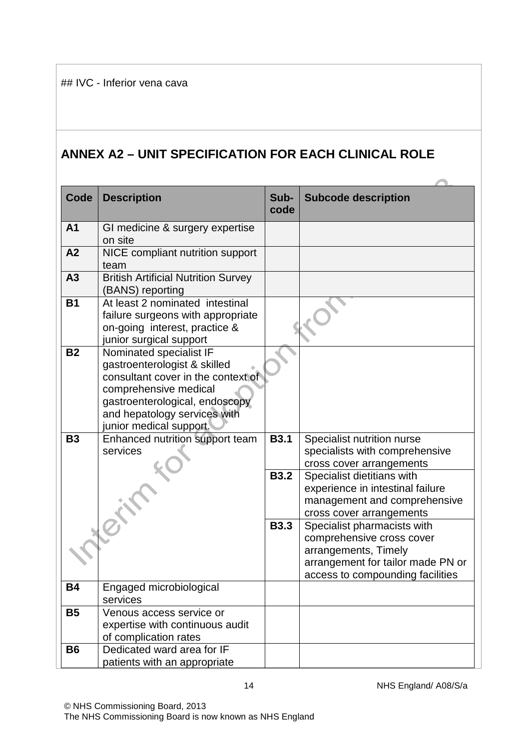## **ANNEX A2 – UNIT SPECIFICATION FOR EACH CLINICAL ROLE**

| Code           | <b>Description</b>                                                 | Sub-        | <b>Subcode description</b>                                            |
|----------------|--------------------------------------------------------------------|-------------|-----------------------------------------------------------------------|
|                |                                                                    | code        |                                                                       |
| A <sub>1</sub> | GI medicine & surgery expertise                                    |             |                                                                       |
|                | on site                                                            |             |                                                                       |
| A2             | NICE compliant nutrition support                                   |             |                                                                       |
|                | team                                                               |             |                                                                       |
| A3             | <b>British Artificial Nutrition Survey</b><br>(BANS) reporting     |             |                                                                       |
| <b>B1</b>      | At least 2 nominated intestinal                                    |             |                                                                       |
|                | failure surgeons with appropriate                                  |             |                                                                       |
|                | on-going interest, practice &                                      |             |                                                                       |
|                | junior surgical support                                            |             |                                                                       |
| <b>B2</b>      | Nominated specialist IF                                            |             |                                                                       |
|                | gastroenterologist & skilled<br>consultant cover in the context of |             |                                                                       |
|                | comprehensive medical                                              |             |                                                                       |
|                | gastroenterological, endoscopy                                     |             |                                                                       |
|                | and hepatology services with                                       |             |                                                                       |
|                | junior medical support.                                            |             |                                                                       |
| <b>B3</b>      | Enhanced nutrition support team                                    | <b>B3.1</b> | Specialist nutrition nurse                                            |
|                | services                                                           |             | specialists with comprehensive                                        |
|                |                                                                    |             | cross cover arrangements                                              |
|                |                                                                    | <b>B3.2</b> | Specialist dietitians with                                            |
|                |                                                                    |             | experience in intestinal failure                                      |
|                |                                                                    |             | management and comprehensive                                          |
|                |                                                                    |             | cross cover arrangements                                              |
|                |                                                                    | <b>B3.3</b> | Specialist pharmacists with                                           |
|                |                                                                    |             | comprehensive cross cover                                             |
|                |                                                                    |             | arrangements, Timely                                                  |
|                |                                                                    |             | arrangement for tailor made PN or<br>access to compounding facilities |
| <b>B4</b>      | Engaged microbiological                                            |             |                                                                       |
|                | services                                                           |             |                                                                       |
| <b>B5</b>      | Venous access service or                                           |             |                                                                       |
|                | expertise with continuous audit                                    |             |                                                                       |
|                | of complication rates                                              |             |                                                                       |
| <b>B6</b>      | Dedicated ward area for IF                                         |             |                                                                       |
|                | patients with an appropriate                                       |             |                                                                       |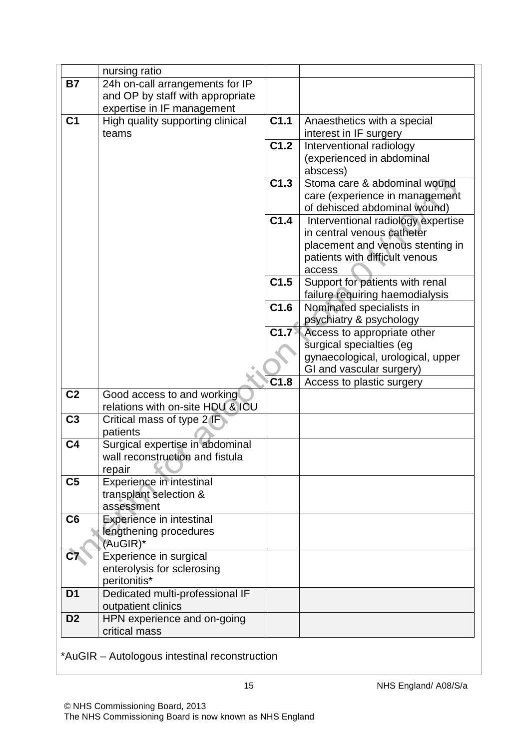|                | nursing ratio                                |                  |                                                        |
|----------------|----------------------------------------------|------------------|--------------------------------------------------------|
| <b>B7</b>      | 24h on-call arrangements for IP              |                  |                                                        |
|                | and OP by staff with appropriate             |                  |                                                        |
|                | expertise in IF management                   |                  |                                                        |
| C <sub>1</sub> | High quality supporting clinical             | C <sub>1.1</sub> | Anaesthetics with a special                            |
|                | teams                                        |                  | interest in IF surgery                                 |
|                |                                              | C1.2             | Interventional radiology                               |
|                |                                              |                  | (experienced in abdominal                              |
|                |                                              |                  | abscess)                                               |
|                |                                              | C1.3             | Stoma care & abdominal wound                           |
|                |                                              |                  | care (experience in management                         |
|                |                                              |                  | of dehisced abdominal wound)                           |
|                |                                              | C1.4             | Interventional radiology expertise                     |
|                |                                              |                  | in central venous catheter                             |
|                |                                              |                  | placement and venous stenting in                       |
|                |                                              |                  | patients with difficult venous                         |
|                |                                              |                  | access                                                 |
|                |                                              | C1.5             | Support for patients with renal                        |
|                |                                              | C1.6             | failure requiring haemodialysis                        |
|                |                                              |                  | Nominated specialists in                               |
|                |                                              | C1.7             | psychiatry & psychology<br>Access to appropriate other |
|                |                                              |                  | surgical specialties (eg                               |
|                |                                              |                  | gynaecological, urological, upper                      |
|                |                                              |                  | GI and vascular surgery)                               |
|                |                                              | C1.8             | Access to plastic surgery                              |
| C <sub>2</sub> | Good access to and working                   |                  |                                                        |
|                | relations with on-site HDU & ICU             |                  |                                                        |
| C <sub>3</sub> | Critical mass of type 2 <b>IF</b>            |                  |                                                        |
|                | patients                                     |                  |                                                        |
| C <sub>4</sub> | Surgical expertise in abdominal              |                  |                                                        |
|                | wall reconstruction and fistula              |                  |                                                        |
|                | repair                                       |                  |                                                        |
| C <sub>5</sub> | Experience in intestinal                     |                  |                                                        |
|                | transplant selection &                       |                  |                                                        |
|                | assessment                                   |                  |                                                        |
| C6             | <b>Experience in intestinal</b>              |                  |                                                        |
|                | lengthening procedures                       |                  |                                                        |
|                | (AuGIR)*                                     |                  |                                                        |
| C7             | Experience in surgical                       |                  |                                                        |
|                | enterolysis for sclerosing                   |                  |                                                        |
|                | peritonitis*                                 |                  |                                                        |
| D <sub>1</sub> | Dedicated multi-professional IF              |                  |                                                        |
| D <sub>2</sub> | outpatient clinics                           |                  |                                                        |
|                | HPN experience and on-going<br>critical mass |                  |                                                        |
|                |                                              |                  |                                                        |

## \*AuGIR – Autologous intestinal reconstruction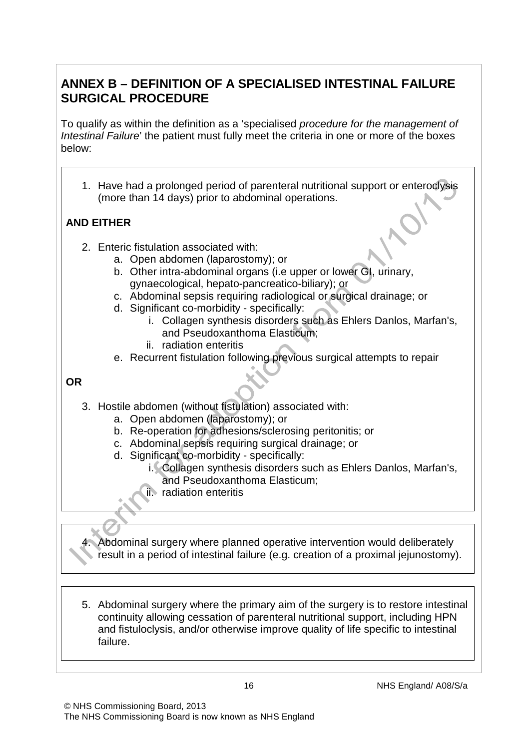## **ANNEX B – DEFINITION OF A SPECIALISED INTESTINAL FAILURE SURGICAL PROCEDURE**

To qualify as within the definition as a 'specialised *procedure for the management of Intestinal Failure*' the patient must fully meet the criteria in one or more of the boxes below:

1. Have had a prolonged period of parenteral nutritional support or enteroclysis (more than 14 days) prior to abdominal operations.

## **AND EITHER**

- 2. Enteric fistulation associated with:
	- a. Open abdomen (laparostomy); or
	- b. Other intra-abdominal organs (i.e upper or lower GI, urinary, gynaecological, hepato-pancreatico-biliary); or
	- c. Abdominal sepsis requiring radiological or surgical drainage; or
	- d. Significant co-morbidity specifically:
		- i. Collagen synthesis disorders such as Ehlers Danlos, Marfan's, and Pseudoxanthoma Elasticum;
		- ii. radiation enteritis
	- e. Recurrent fistulation following previous surgical attempts to repair

#### **OR**

- 3. Hostile abdomen (without fistulation) associated with:
	- a. Open abdomen (laparostomy); or
	- b. Re-operation for adhesions/sclerosing peritonitis; or
	- c. Abdominal sepsis requiring surgical drainage; or
	- d. Significant co-morbidity specifically:
		- i. Collagen synthesis disorders such as Ehlers Danlos, Marfan's, and Pseudoxanthoma Elasticum;
		- ii. radiation enteritis

4. Abdominal surgery where planned operative intervention would deliberately result in a period of intestinal failure (e.g. creation of a proximal jejunostomy).

5. Abdominal surgery where the primary aim of the surgery is to restore intestinal continuity allowing cessation of parenteral nutritional support, including HPN and fistuloclysis, and/or otherwise improve quality of life specific to intestinal failure.